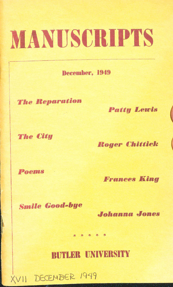# MANUSCRIPTS

December, 1949

**The Reparation** 

**Patty Lewis** 

**The City** 

**Roger Chittick** 

Poems

 $XVII$ 

**Frances King** 

**Smile Good-bye** 

DECEMBER 1949

Johanna Jones

**BUTLER UNIVERSITY** 

本 本 本 本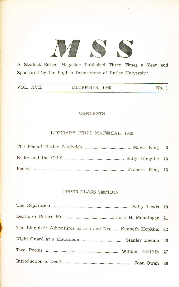

A Student Edited Magazine Published Three Times a Year and Sponsored by the English Department of Butler University

| VOL. XVII | DECEMBER, 1949 | No. 1 |
|-----------|----------------|-------|

### CONTENTS

# LITERARY PRIZE MATERIAL, 1949

# UPPEH CLASS SECTION

| The Linguistic Adventures of Leo and Neo  Kenneth Hopkins 22 |  |
|--------------------------------------------------------------|--|
|                                                              |  |
|                                                              |  |
|                                                              |  |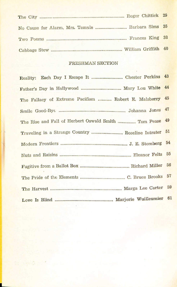| No Cause for Alarm, Mrs. Temple  Barbara Sims 35 |  |
|--------------------------------------------------|--|
|                                                  |  |
|                                                  |  |

# FRESHMAN SECTION

|                                                      | 44 |
|------------------------------------------------------|----|
| The Fallacy of Extreme Pacifism  Robert E. Malsberry | 45 |
|                                                      | 47 |
| The Rise and Fall of Herbert Oswald Smith  Tom Pease | 49 |
|                                                      | 51 |
|                                                      | 54 |
|                                                      | 55 |
|                                                      | 56 |
|                                                      | 57 |
|                                                      | 59 |
|                                                      |    |

 $1.25 - 1.7$